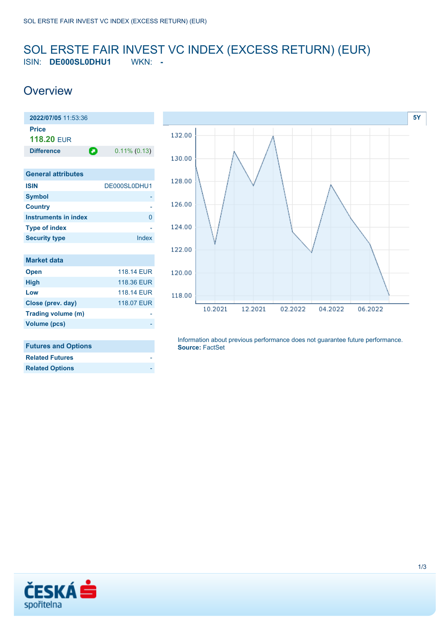#### <span id="page-0-0"></span>SOL ERSTE FAIR INVEST VC INDEX (EXCESS RETURN) (EUR) ISIN: **DE000SL0DHU1** WKN: **-**

02.2022

04.2022

06.2022

## **Overview**





**[5Y](#page-0-0)**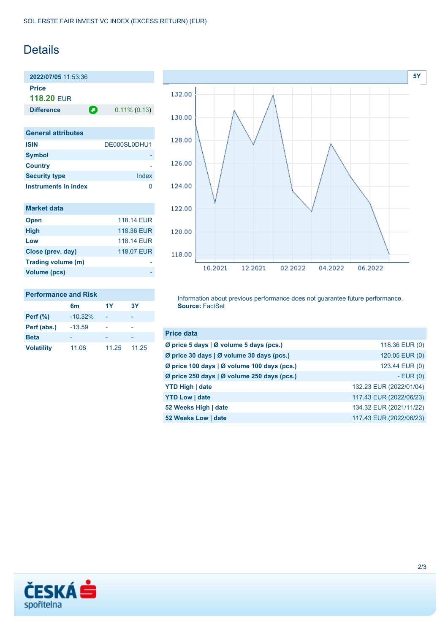### **Details**

**2022/07/05** 11:53:36 **Price 118.20** EUR

|  | inerence |  |
|--|----------|--|
|  |          |  |

**Difference 0.11% (0.13)** 

| <b>General attributes</b> |              |
|---------------------------|--------------|
| <b>ISIN</b>               | DE000SL0DHU1 |
| <b>Symbol</b>             |              |
| <b>Country</b>            |              |
| <b>Security type</b>      | Index        |
| Instruments in index      |              |

| <b>Market data</b> |            |
|--------------------|------------|
| <b>Open</b>        | 118.14 EUR |
| <b>High</b>        | 118.36 EUR |
| Low                | 118.14 FUR |
| Close (prev. day)  | 118.07 EUR |
| Trading volume (m) |            |
| Volume (pcs)       |            |



#### **Performance and Risk**

|                   | 6m        | 1Y    | <b>3Y</b> |
|-------------------|-----------|-------|-----------|
| <b>Perf</b> (%)   | $-10.32%$ |       |           |
| Perf (abs.)       | $-13.59$  |       |           |
| <b>Beta</b>       |           |       |           |
| <b>Volatility</b> | 11.06     | 11.25 | 11.25     |

Information about previous performance does not guarantee future performance. **Source:** FactSet

| <b>Price data</b>                           |                         |
|---------------------------------------------|-------------------------|
| Ø price 5 days   Ø volume 5 days (pcs.)     | 118.36 EUR (0)          |
| Ø price 30 days   Ø volume 30 days (pcs.)   | 120.05 EUR (0)          |
| Ø price 100 days   Ø volume 100 days (pcs.) | 123.44 EUR (0)          |
| Ø price 250 days   Ø volume 250 days (pcs.) | $-EUR(0)$               |
| <b>YTD High   date</b>                      | 132.23 EUR (2022/01/04) |
| <b>YTD Low   date</b>                       | 117.43 EUR (2022/06/23) |
| 52 Weeks High   date                        | 134.32 EUR (2021/11/22) |
| 52 Weeks Low   date                         | 117.43 EUR (2022/06/23) |